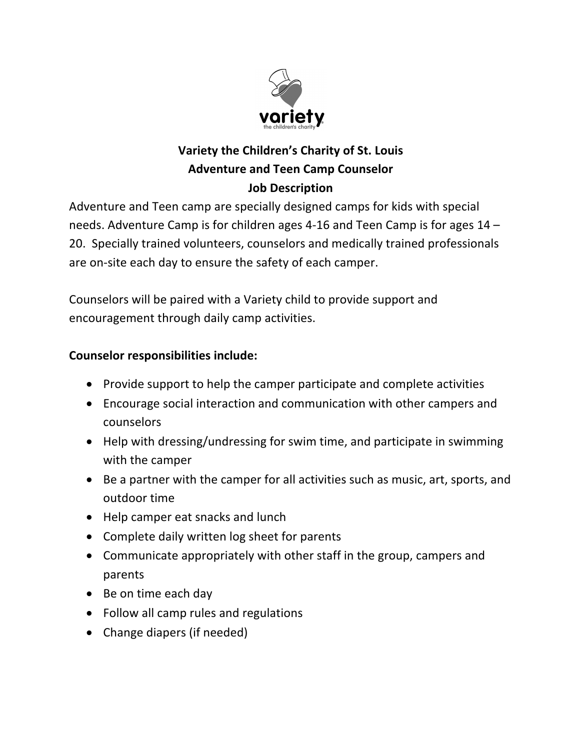

## **Variety the Children's Charity of St. Louis Adventure and Teen Camp Counselor Job Description**

Adventure and Teen camp are specially designed camps for kids with special needs. Adventure Camp is for children ages 4-16 and Teen Camp is for ages 14 – 20. Specially trained volunteers, counselors and medically trained professionals are on-site each day to ensure the safety of each camper.

Counselors will be paired with a Variety child to provide support and encouragement through daily camp activities.

## **Counselor responsibilities include:**

- Provide support to help the camper participate and complete activities
- Encourage social interaction and communication with other campers and counselors
- Help with dressing/undressing for swim time, and participate in swimming with the camper
- Be a partner with the camper for all activities such as music, art, sports, and outdoor time
- Help camper eat snacks and lunch
- Complete daily written log sheet for parents
- Communicate appropriately with other staff in the group, campers and parents
- Be on time each day
- Follow all camp rules and regulations
- Change diapers (if needed)